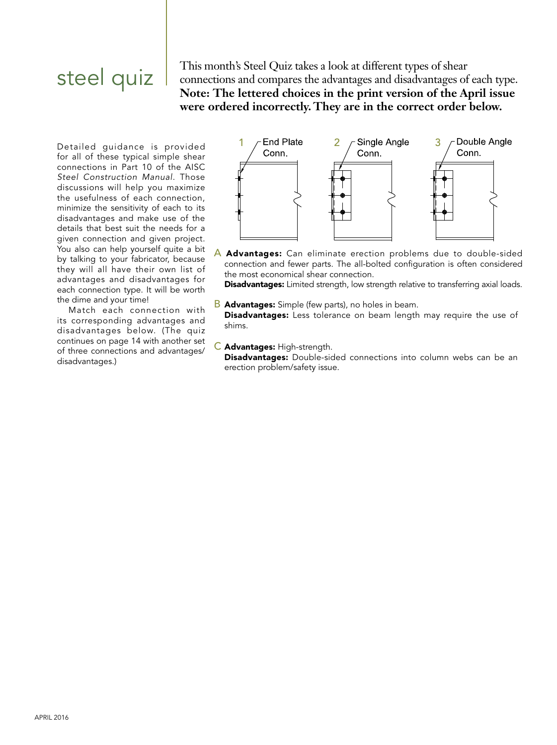## steel quiz

This month's Steel Quiz takes a look at different types of shear connections and compares the advantages and disadvantages of each type. **Note: The lettered choices in the print version of the April issue were ordered incorrectly. They are in the correct order below.**

Detailed guidance is provided for all of these typical simple shear connections in Part 10 of the AISC *Steel Construction Manual*. Those discussions will help you maximize the usefulness of each connection, minimize the sensitivity of each to its disadvantages and make use of the details that best suit the needs for a given connection and given project. You also can help yourself quite a bit by talking to your fabricator, because they will all have their own list of advantages and disadvantages for each connection type. It will be worth the dime and your time!

Match each connection with its corresponding advantages and disadvantages below. (The quiz continues on page 14 with another set of three connections and advantages/ disadvantages.)



A Advantages: Can eliminate erection problems due to double-sided connection and fewer parts. The all-bolted configuration is often considered the most economical shear connection.

**Disadvantages:** Limited strength, low strength relative to transferring axial loads.

- **B** Advantages: Simple (few parts), no holes in beam. Disadvantages: Less tolerance on beam length may require the use of shims.
- C Advantages: High-strength. Disadvantages: Double-sided connections into column webs can be an erection problem/safety issue.